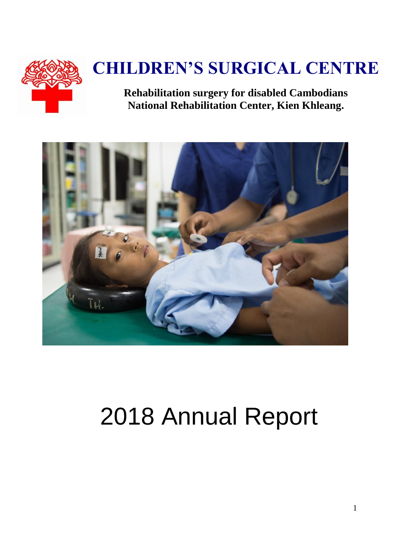

# **CHILDREN'S SURGICAL CENTRE**

**Rehabilitation surgery for disabled Cambodians National Rehabilitation Center, Kien Khleang.**



# 2018 Annual Report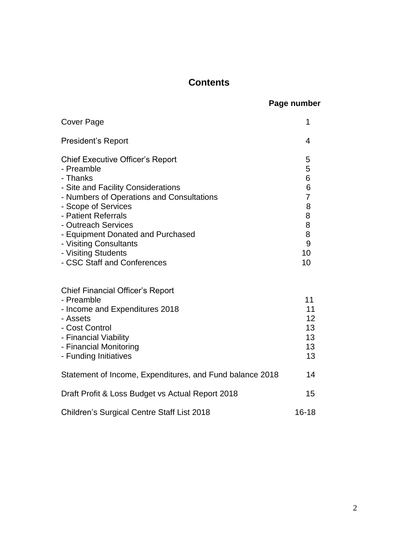#### **Contents**

#### **Page number**

| <b>Cover Page</b>                                                                                                                                                                                                                                                                                                                              | 1                                                                       |
|------------------------------------------------------------------------------------------------------------------------------------------------------------------------------------------------------------------------------------------------------------------------------------------------------------------------------------------------|-------------------------------------------------------------------------|
| <b>President's Report</b>                                                                                                                                                                                                                                                                                                                      | 4                                                                       |
| <b>Chief Executive Officer's Report</b><br>- Preamble<br>- Thanks<br>- Site and Facility Considerations<br>- Numbers of Operations and Consultations<br>- Scope of Services<br>- Patient Referrals<br>- Outreach Services<br>- Equipment Donated and Purchased<br>- Visiting Consultants<br>- Visiting Students<br>- CSC Staff and Conferences | 5<br>5<br>6<br>6<br>$\overline{7}$<br>8<br>8<br>8<br>8<br>9<br>10<br>10 |
| <b>Chief Financial Officer's Report</b><br>- Preamble<br>- Income and Expenditures 2018<br>- Assets<br>- Cost Control<br>- Financial Viability<br>- Financial Monitoring<br>- Funding Initiatives                                                                                                                                              | 11<br>11<br>12<br>13<br>13<br>13<br>13                                  |
| Statement of Income, Expenditures, and Fund balance 2018                                                                                                                                                                                                                                                                                       | 14                                                                      |
| Draft Profit & Loss Budget vs Actual Report 2018                                                                                                                                                                                                                                                                                               | 15                                                                      |
| <b>Children's Surgical Centre Staff List 2018</b>                                                                                                                                                                                                                                                                                              | $16 - 18$                                                               |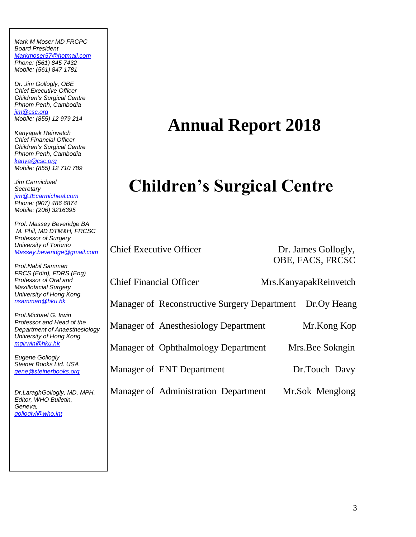*Mark M Moser MD FRCPC Board President [Markmoser57@hotmail.com](mailto:Markmoser57@hotmail.com) Phone: (561) 845 7432 Mobile: (561) 847 1781*

*Dr. Jim Gollogly, OBE Chief Executive Officer Children's Surgical Centre Phnom Penh, Cambodia [jim@csc.org](mailto:jim@csc.org) Mobile: (855) 12 979 214*

*Kanyapak Reinvetch Chief Financial Officer Children's Surgical Centre Phnom Penh, Cambodia [kanya@csc.org](mailto:kanya@csc.org) Mobile: (855) 12 710 789*

*Jim Carmichael Secretary [jim@JEcarmicheal.com](mailto:jim@JEcarmicheal.com) Phone: (907) 486 6874 Mobile: (206) 3216395* 

*Prof. Massey Beveridge BA M. Phil, MD DTM&H, FRCSC Professor of Surgery University of Toronto [Massey.beveridge@gmail.com](mailto:Massey.beveridge@gmail.com)*

*Prof.Nabil Samman FRCS (Edin), FDRS (Eng) Professor of Oral and Maxillofacial Surgery University of Hong Kong [nsamman@hku.hk](mailto:nsamman@hku.hk)*

*Prof.Michael G. Irwin Professor and Head of the Department of Anaesthesiology University of Hong Kong [mgirwin@hku.hk](mailto:mgirwin@hku.hk)*

*Eugene Gollogly Steiner Books Ltd. USA [gene@steinerbooks.org](mailto:gene@steinerbooks.org)*

*Dr.LaraghGollogly, MD, MPH. Editor, WHO Bulletin, Geneva, [golloglyl@who.int](mailto:golloglyl@who.int)*

# **Annual Report 2018**

# **Children's Surgical Centre**

Chief Executive Officer Dr. James Gollogly,

OBE, FACS, FRCSC

Chief Financial Officer Mrs.KanyapakReinvetch

Manager of Reconstructive Surgery Department Dr.Oy Heang

Manager of Anesthesiology Department Mr.Kong Kop

Manager of Ophthalmology Department Mrs. Bee Sokngin

Manager of ENT Department Dr.Touch Davy

Manager of Administration Department Mr.Sok Menglong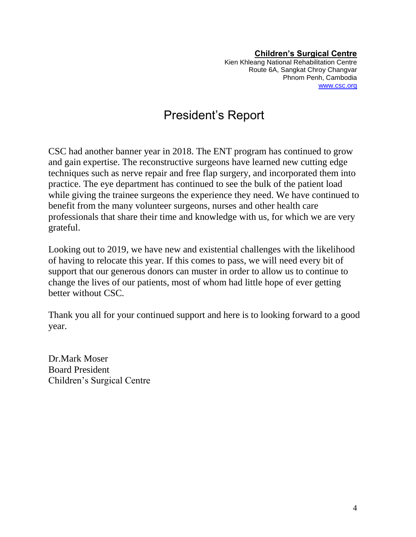**Children's Surgical Centre** Kien Khleang National Rehabilitation Centre Route 6A, Sangkat Chroy Changvar Phnom Penh, Cambodia [www.csc.org](http://www.csc.org/)

## President's Report

CSC had another banner year in 2018. The ENT program has continued to grow and gain expertise. The reconstructive surgeons have learned new cutting edge techniques such as nerve repair and free flap surgery, and incorporated them into practice. The eye department has continued to see the bulk of the patient load while giving the trainee surgeons the experience they need. We have continued to benefit from the many volunteer surgeons, nurses and other health care professionals that share their time and knowledge with us, for which we are very grateful.

Looking out to 2019, we have new and existential challenges with the likelihood of having to relocate this year. If this comes to pass, we will need every bit of support that our generous donors can muster in order to allow us to continue to change the lives of our patients, most of whom had little hope of ever getting better without CSC.

Thank you all for your continued support and here is to looking forward to a good year.

Dr.Mark Moser Board President Children's Surgical Centre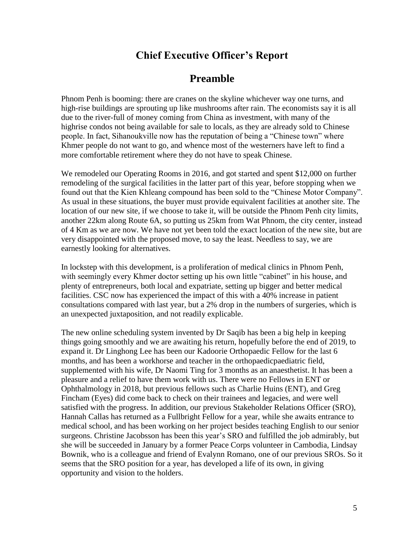#### **Chief Executive Officer's Report**

#### **Preamble**

Phnom Penh is booming: there are cranes on the skyline whichever way one turns, and high-rise buildings are sprouting up like mushrooms after rain. The economists say it is all due to the river-full of money coming from China as investment, with many of the highrise condos not being available for sale to locals, as they are already sold to Chinese people. In fact, Sihanoukville now has the reputation of being a "Chinese town" where Khmer people do not want to go, and whence most of the westerners have left to find a more comfortable retirement where they do not have to speak Chinese.

We remodeled our Operating Rooms in 2016, and got started and spent \$12,000 on further remodeling of the surgical facilities in the latter part of this year, before stopping when we found out that the Kien Khleang compound has been sold to the "Chinese Motor Company". As usual in these situations, the buyer must provide equivalent facilities at another site. The location of our new site, if we choose to take it, will be outside the Phnom Penh city limits, another 22km along Route 6A, so putting us 25km from Wat Phnom, the city center, instead of 4 Km as we are now. We have not yet been told the exact location of the new site, but are very disappointed with the proposed move, to say the least. Needless to say, we are earnestly looking for alternatives.

In lockstep with this development, is a proliferation of medical clinics in Phnom Penh, with seemingly every Khmer doctor setting up his own little "cabinet" in his house, and plenty of entrepreneurs, both local and expatriate, setting up bigger and better medical facilities. CSC now has experienced the impact of this with a 40% increase in patient consultations compared with last year, but a 2% drop in the numbers of surgeries, which is an unexpected juxtaposition, and not readily explicable.

The new online scheduling system invented by Dr Saqib has been a big help in keeping things going smoothly and we are awaiting his return, hopefully before the end of 2019, to expand it. Dr Linghong Lee has been our Kadoorie Orthopaedic Fellow for the last 6 months, and has been a workhorse and teacher in the orthopaedicpaediatric field, supplemented with his wife, Dr Naomi Ting for 3 months as an anaesthetist. It has been a pleasure and a relief to have them work with us. There were no Fellows in ENT or Ophthalmology in 2018, but previous fellows such as Charlie Huins (ENT), and Greg Fincham (Eyes) did come back to check on their trainees and legacies, and were well satisfied with the progress. In addition, our previous Stakeholder Relations Officer (SRO), Hannah Callas has returned as a Fullbright Fellow for a year, while she awaits entrance to medical school, and has been working on her project besides teaching English to our senior surgeons. Christine Jacobsson has been this year's SRO and fulfilled the job admirably, but she will be succeeded in January by a former Peace Corps volunteer in Cambodia, Lindsay Bownik, who is a colleague and friend of Evalynn Romano, one of our previous SROs. So it seems that the SRO position for a year, has developed a life of its own, in giving opportunity and vision to the holders.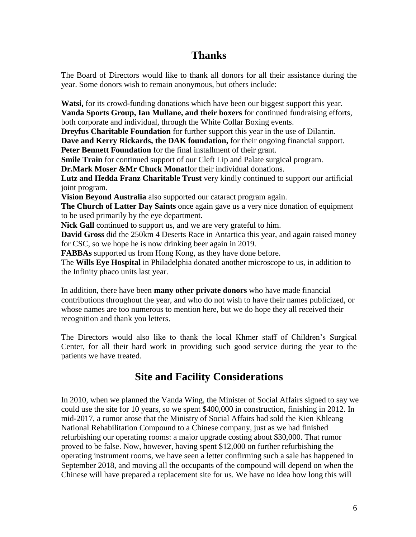#### **Thanks**

The Board of Directors would like to thank all donors for all their assistance during the year. Some donors wish to remain anonymous, but others include:

**Watsi,** for its crowd-funding donations which have been our biggest support this year. **Vanda Sports Group, Ian Mullane, and their boxers** for continued fundraising efforts, both corporate and individual, through the White Collar Boxing events. **Dreyfus Charitable Foundation** for further support this year in the use of Dilantin. **Dave and Kerry Rickards, the DAK foundation,** for their ongoing financial support. **Peter Bennett Foundation** for the final installment of their grant. **Smile Train** for continued support of our Cleft Lip and Palate surgical program. **Dr.Mark Moser &Mr Chuck Monat**for their individual donations. **Lutz and Hedda Franz Charitable Trust** very kindly continued to support our artificial joint program. **Vision Beyond Australia** also supported our cataract program again. **The Church of Latter Day Saints** once again gave us a very nice donation of equipment to be used primarily by the eye department. Nick Gall continued to support us, and we are very grateful to him. **David Gross** did the 250km 4 Deserts Race in Antartica this year, and again raised money for CSC, so we hope he is now drinking beer again in 2019. **FABBAs** supported us from Hong Kong, as they have done before. The **Wills Eye Hospital** in Philadelphia donated another microscope to us, in addition to the Infinity phaco units last year.

In addition, there have been **many other private donors** who have made financial contributions throughout the year, and who do not wish to have their names publicized, or whose names are too numerous to mention here, but we do hope they all received their recognition and thank you letters.

The Directors would also like to thank the local Khmer staff of Children's Surgical Center, for all their hard work in providing such good service during the year to the patients we have treated.

#### **Site and Facility Considerations**

In 2010, when we planned the Vanda Wing, the Minister of Social Affairs signed to say we could use the site for 10 years, so we spent \$400,000 in construction, finishing in 2012. In mid-2017, a rumor arose that the Ministry of Social Affairs had sold the Kien Khleang National Rehabilitation Compound to a Chinese company, just as we had finished refurbishing our operating rooms: a major upgrade costing about \$30,000. That rumor proved to be false. Now, however, having spent \$12,000 on further refurbishing the operating instrument rooms, we have seen a letter confirming such a sale has happened in September 2018, and moving all the occupants of the compound will depend on when the Chinese will have prepared a replacement site for us. We have no idea how long this will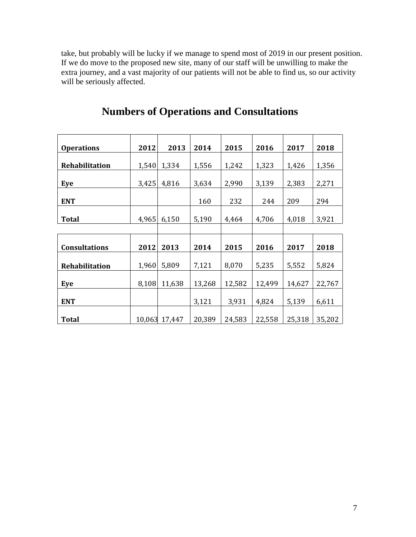take, but probably will be lucky if we manage to spend most of 2019 in our present position. If we do move to the proposed new site, many of our staff will be unwilling to make the extra journey, and a vast majority of our patients will not be able to find us, so our activity will be seriously affected.

| <b>Operations</b>     | 2012  | 2013          | 2014   | 2015   | 2016   | 2017   | 2018   |
|-----------------------|-------|---------------|--------|--------|--------|--------|--------|
|                       |       |               |        |        |        |        |        |
| <b>Rehabilitation</b> | 1,540 | 1,334         | 1,556  | 1,242  | 1,323  | 1,426  | 1,356  |
| Eye                   | 3,425 | 4,816         | 3,634  | 2,990  | 3,139  | 2,383  | 2,271  |
|                       |       |               |        |        |        |        |        |
| <b>ENT</b>            |       |               | 160    | 232    | 244    | 209    | 294    |
| <b>Total</b>          | 4,965 | 6,150         | 5,190  | 4,464  | 4,706  | 4,018  | 3,921  |
|                       |       |               |        |        |        |        |        |
|                       |       |               |        |        |        |        |        |
| <b>Consultations</b>  | 2012  | 2013          | 2014   | 2015   | 2016   | 2017   | 2018   |
|                       |       |               |        |        |        |        |        |
| <b>Rehabilitation</b> | 1,960 | 5,809         | 7,121  | 8,070  | 5,235  | 5,552  | 5,824  |
|                       |       |               |        |        |        |        |        |
| Eye                   | 8,108 | 11,638        | 13,268 | 12,582 | 12,499 | 14,627 | 22,767 |
| <b>ENT</b>            |       |               | 3,121  | 3,931  | 4,824  | 5,139  | 6,611  |
|                       |       |               |        |        |        |        |        |
| <b>Total</b>          |       | 10,063 17,447 | 20,389 | 24,583 | 22,558 | 25,318 | 35,202 |

### **Numbers of Operations and Consultations**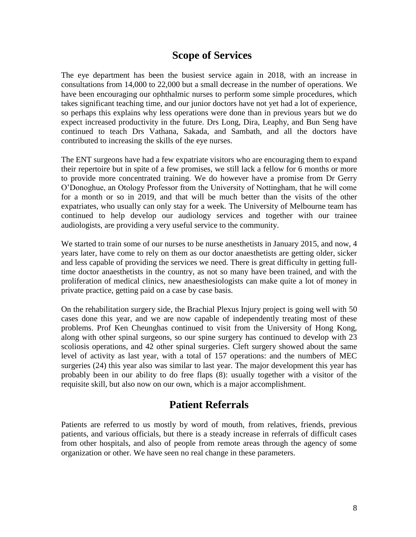#### **Scope of Services**

The eye department has been the busiest service again in 2018, with an increase in consultations from 14,000 to 22,000 but a small decrease in the number of operations. We have been encouraging our ophthalmic nurses to perform some simple procedures, which takes significant teaching time, and our junior doctors have not yet had a lot of experience, so perhaps this explains why less operations were done than in previous years but we do expect increased productivity in the future. Drs Long, Dira, Leaphy, and Bun Seng have continued to teach Drs Vathana, Sakada, and Sambath, and all the doctors have contributed to increasing the skills of the eye nurses.

The ENT surgeons have had a few expatriate visitors who are encouraging them to expand their repertoire but in spite of a few promises, we still lack a fellow for 6 months or more to provide more concentrated training. We do however have a promise from Dr Gerry O'Donoghue, an Otology Professor from the University of Nottingham, that he will come for a month or so in 2019, and that will be much better than the visits of the other expatriates, who usually can only stay for a week. The University of Melbourne team has continued to help develop our audiology services and together with our trainee audiologists, are providing a very useful service to the community.

We started to train some of our nurses to be nurse anesthetists in January 2015, and now, 4 years later, have come to rely on them as our doctor anaesthetists are getting older, sicker and less capable of providing the services we need. There is great difficulty in getting fulltime doctor anaesthetists in the country, as not so many have been trained, and with the proliferation of medical clinics, new anaesthesiologists can make quite a lot of money in private practice, getting paid on a case by case basis.

On the rehabilitation surgery side, the Brachial Plexus Injury project is going well with 50 cases done this year, and we are now capable of independently treating most of these problems. Prof Ken Cheunghas continued to visit from the University of Hong Kong, along with other spinal surgeons, so our spine surgery has continued to develop with 23 scoliosis operations, and 42 other spinal surgeries. Cleft surgery showed about the same level of activity as last year, with a total of 157 operations: and the numbers of MEC surgeries (24) this year also was similar to last year. The major development this year has probably been in our ability to do free flaps (8): usually together with a visitor of the requisite skill, but also now on our own, which is a major accomplishment.

#### **Patient Referrals**

Patients are referred to us mostly by word of mouth, from relatives, friends, previous patients, and various officials, but there is a steady increase in referrals of difficult cases from other hospitals, and also of people from remote areas through the agency of some organization or other. We have seen no real change in these parameters.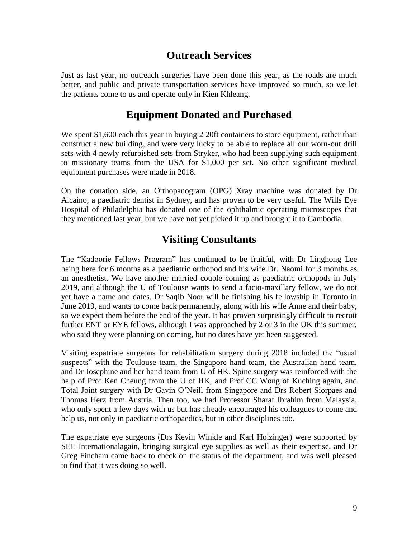#### **Outreach Services**

Just as last year, no outreach surgeries have been done this year, as the roads are much better, and public and private transportation services have improved so much, so we let the patients come to us and operate only in Kien Khleang.

#### **Equipment Donated and Purchased**

We spent \$1,600 each this year in buying 2 20ft containers to store equipment, rather than construct a new building, and were very lucky to be able to replace all our worn-out drill sets with 4 newly refurbished sets from Stryker, who had been supplying such equipment to missionary teams from the USA for \$1,000 per set. No other significant medical equipment purchases were made in 2018.

On the donation side, an Orthopanogram (OPG) Xray machine was donated by Dr Alcaino, a paediatric dentist in Sydney, and has proven to be very useful. The Wills Eye Hospital of Philadelphia has donated one of the ophthalmic operating microscopes that they mentioned last year, but we have not yet picked it up and brought it to Cambodia.

#### **Visiting Consultants**

The "Kadoorie Fellows Program" has continued to be fruitful, with Dr Linghong Lee being here for 6 months as a paediatric orthopod and his wife Dr. Naomi for 3 months as an anesthetist. We have another married couple coming as paediatric orthopods in July 2019, and although the U of Toulouse wants to send a facio-maxillary fellow, we do not yet have a name and dates. Dr Saqib Noor will be finishing his fellowship in Toronto in June 2019, and wants to come back permanently, along with his wife Anne and their baby, so we expect them before the end of the year. It has proven surprisingly difficult to recruit further ENT or EYE fellows, although I was approached by 2 or 3 in the UK this summer, who said they were planning on coming, but no dates have yet been suggested.

Visiting expatriate surgeons for rehabilitation surgery during 2018 included the "usual suspects" with the Toulouse team, the Singapore hand team, the Australian hand team, and Dr Josephine and her hand team from U of HK. Spine surgery was reinforced with the help of Prof Ken Cheung from the U of HK, and Prof CC Wong of Kuching again, and Total Joint surgery with Dr Gavin O'Neill from Singapore and Drs Robert Siorpaes and Thomas Herz from Austria. Then too, we had Professor Sharaf Ibrahim from Malaysia, who only spent a few days with us but has already encouraged his colleagues to come and help us, not only in paediatric orthopaedics, but in other disciplines too.

The expatriate eye surgeons (Drs Kevin Winkle and Karl Holzinger) were supported by SEE Internationalagain, bringing surgical eye supplies as well as their expertise, and Dr Greg Fincham came back to check on the status of the department, and was well pleased to find that it was doing so well.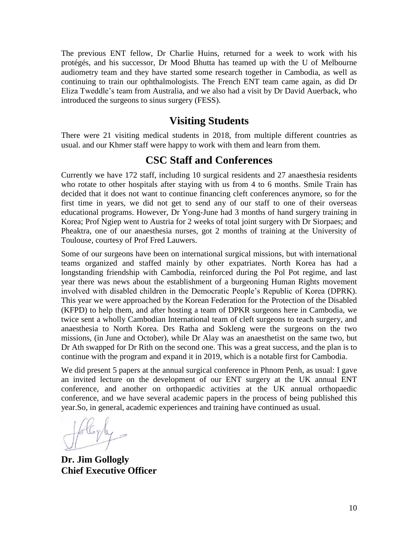The previous ENT fellow, Dr Charlie Huins, returned for a week to work with his protégés, and his successor, Dr Mood Bhutta has teamed up with the U of Melbourne audiometry team and they have started some research together in Cambodia, as well as continuing to train our ophthalmologists. The French ENT team came again, as did Dr Eliza Tweddle's team from Australia, and we also had a visit by Dr David Auerback, who introduced the surgeons to sinus surgery (FESS).

#### **Visiting Students**

There were 21 visiting medical students in 2018, from multiple different countries as usual. and our Khmer staff were happy to work with them and learn from them.

#### **CSC Staff and Conferences**

Currently we have 172 staff, including 10 surgical residents and 27 anaesthesia residents who rotate to other hospitals after staying with us from 4 to 6 months. Smile Train has decided that it does not want to continue financing cleft conferences anymore, so for the first time in years, we did not get to send any of our staff to one of their overseas educational programs. However, Dr Yong-June had 3 months of hand surgery training in Korea; Prof Ngiep went to Austria for 2 weeks of total joint surgery with Dr Siorpaes; and Pheaktra, one of our anaesthesia nurses, got 2 months of training at the University of Toulouse, courtesy of Prof Fred Lauwers.

Some of our surgeons have been on international surgical missions, but with international teams organized and staffed mainly by other expatriates. North Korea has had a longstanding friendship with Cambodia, reinforced during the Pol Pot regime, and last year there was news about the establishment of a burgeoning Human Rights movement involved with disabled children in the Democratic People's Republic of Korea (DPRK). This year we were approached by the Korean Federation for the Protection of the Disabled (KFPD) to help them, and after hosting a team of DPKR surgeons here in Cambodia, we twice sent a wholly Cambodian International team of cleft surgeons to teach surgery, and anaesthesia to North Korea. Drs Ratha and Sokleng were the surgeons on the two missions, (in June and October), while Dr Alay was an anaesthetist on the same two, but Dr Ath swapped for Dr Rith on the second one. This was a great success, and the plan is to continue with the program and expand it in 2019, which is a notable first for Cambodia.

We did present 5 papers at the annual surgical conference in Phnom Penh, as usual: I gave an invited lecture on the development of our ENT surgery at the UK annual ENT conference, and another on orthopaedic activities at the UK annual orthopaedic conference, and we have several academic papers in the process of being published this year.So, in general, academic experiences and training have continued as usual.

**Dr. Jim Gollogly Chief Executive Officer**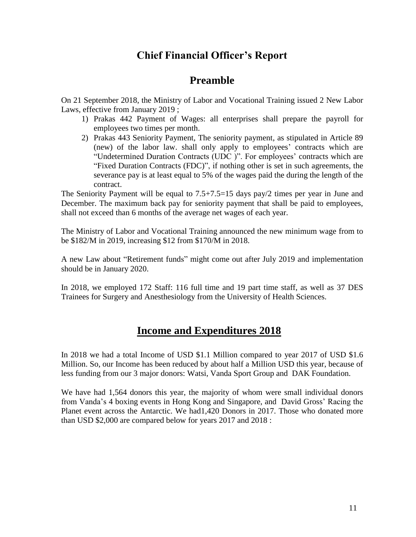#### **Chief Financial Officer's Report**

#### **Preamble**

On 21 September 2018, the Ministry of Labor and Vocational Training issued 2 New Labor Laws, effective from January 2019 ;

- 1) Prakas 442 Payment of Wages: all enterprises shall prepare the payroll for employees two times per month.
- 2) Prakas 443 Seniority Payment, The seniority payment, as stipulated in Article 89 (new) of the labor law. shall only apply to employees' contracts which are "Undetermined Duration Contracts (UDC )". For employees' contracts which are "Fixed Duration Contracts (FDC)", if nothing other is set in such agreements, the severance pay is at least equal to 5% of the wages paid the during the length of the contract.

The Seniority Payment will be equal to 7.5+7.5=15 days pay/2 times per year in June and December. The maximum back pay for seniority payment that shall be paid to employees, shall not exceed than 6 months of the average net wages of each year.

The Ministry of Labor and Vocational Training announced the new minimum wage from to be \$182/M in 2019, increasing \$12 from \$170/M in 2018.

A new Law about "Retirement funds" might come out after July 2019 and implementation should be in January 2020.

In 2018, we employed 172 Staff: 116 full time and 19 part time staff, as well as 37 DES Trainees for Surgery and Anesthesiology from the University of Health Sciences.

#### **Income and Expenditures 2018**

In 2018 we had a total Income of USD \$1.1 Million compared to year 2017 of USD \$1.6 Million. So, our Income has been reduced by about half a Million USD this year, because of less funding from our 3 major donors: Watsi, Vanda Sport Group and DAK Foundation.

We have had 1,564 donors this year, the majority of whom were small individual donors from Vanda's 4 boxing events in Hong Kong and Singapore, and David Gross' Racing the Planet event across the Antarctic. We had1,420 Donors in 2017. Those who donated more than USD \$2,000 are compared below for years 2017 and 2018 :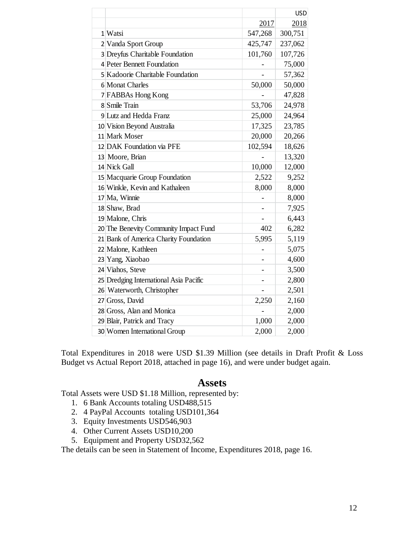|                                        |         | <b>USD</b> |
|----------------------------------------|---------|------------|
|                                        | 2017    | 2018       |
| 1 Watsi                                | 547,268 | 300,751    |
| 2 Vanda Sport Group                    | 425,747 | 237,062    |
| 3 Dreyfus Charitable Foundation        | 101,760 | 107,726    |
| 4 Peter Bennett Foundation             |         | 75,000     |
| 5 Kadoorie Charitable Foundation       |         | 57,362     |
| 6 Monat Charles                        | 50,000  | 50,000     |
| 7 FABBAs Hong Kong                     |         | 47,828     |
| 8 Smile Train                          | 53,706  | 24,978     |
| 9 Lutz and Hedda Franz                 | 25,000  | 24,964     |
| 10 Vision Beyond Australia             | 17,325  | 23,785     |
| 11 Mark Moser                          | 20,000  | 20,266     |
| 12 DAK Foundation via PFE              | 102,594 | 18,626     |
| 13 Moore, Brian                        |         | 13,320     |
| 14 Nick Gall                           | 10,000  | 12,000     |
| 15 Macquarie Group Foundation          | 2,522   | 9,252      |
| 16 Winkle, Kevin and Kathaleen         | 8,000   | 8,000      |
| 17 Ma, Winnie                          |         | 8,000      |
| 18 Shaw, Brad                          |         | 7,925      |
| 19 Malone, Chris                       |         | 6,443      |
| 20 The Benevity Community Impact Fund  | 402     | 6,282      |
| 21 Bank of America Charity Foundation  | 5,995   | 5,119      |
| 22 Malone, Kathleen                    |         | 5,075      |
| 23 Yang, Xiaobao                       |         | 4,600      |
| 24 Viahos, Steve                       |         | 3,500      |
| 25 Dredging International Asia Pacific |         | 2,800      |
| 26 Waterworth, Christopher             |         | 2,501      |
| 27 Gross, David                        | 2,250   | 2,160      |
| 28 Gross, Alan and Monica              |         | 2,000      |
| 29 Blair, Patrick and Tracy            | 1,000   | 2,000      |
| 30 Women International Group           | 2,000   | 2,000      |
|                                        |         |            |

Total Expenditures in 2018 were USD \$1.39 Million (see details in Draft Profit & Loss Budget vs Actual Report 2018, attached in page 16), and were under budget again.

#### **Assets**

Total Assets were USD \$1.18 Million, represented by:

- 1. 6 Bank Accounts totaling USD488,515
- 2. 4 PayPal Accounts totaling USD101,364
- 3. Equity Investments USD546,903
- 4. Other Current Assets USD10,200
- 5. Equipment and Property USD32,562

The details can be seen in Statement of Income, Expenditures 2018, page 16.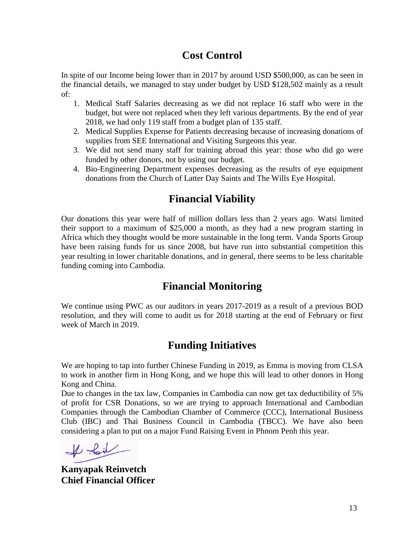#### **Cost Control**

In spite of our Income being lower than in 2017 by around USD \$500,000, as can be seen in the financial details, we managed to stay under budget by USD \$128,502 mainly as a result of:

- 1. Medical Staff Salaries decreasing as we did not replace 16 staff who were in the budget, but were not replaced when they left various departments. By the end of year 2018, we had only 119 staff from a budget plan of 135 staff.
- 2. Medical Supplies Expense for Patients decreasing because of increasing donations of supplies from SEE International and Visiting Surgeons this year.
- 3. We did not send many staff for training abroad this year: those who did go were funded by other donors, not by using our budget.
- 4. Bio-Engineering Department expenses decreasing as the results of eye equipment donations from the Church of Latter Day Saints and The Wills Eye Hospital.

### **Financial Viability**

Our donations this year were half of million dollars less than 2 years ago. Watsi limited their support to a maximum of \$25,000 a month, as they had a new program starting in Africa which they thought would be more sustainable in the long term. Vanda Sports Group have been raising funds for us since 2008, but have run into substantial competition this year resulting in lower charitable donations, and in general, there seems to be less charitable funding coming into Cambodia.

#### **Financial Monitoring**

We continue using PWC as our auditors in years 2017-2019 as a result of a previous BOD resolution, and they will come to audit us for 2018 starting at the end of February or first week of March in 2019.

#### **Funding Initiatives**

We are hoping to tap into further Chinese Funding in 2019, as Emma is moving from CLSA to work in another firm in Hong Kong, and we hope this will lead to other donors in Hong Kong and China.

Due to changes in the tax law, Companies in Cambodia can now get tax deductibility of 5% of profit for CSR Donations, so we are trying to approach International and Cambodian Companies through the Cambodian Chamber of Commerce (CCC), International Business Club (IBC) and Thai Business Council in Cambodia (TBCC). We have also been considering a plan to put on a major Fund Raising Event in Phnom Penh this year.

 $#$ foil

**Kanyapak Reinvetch Chief Financial Officer**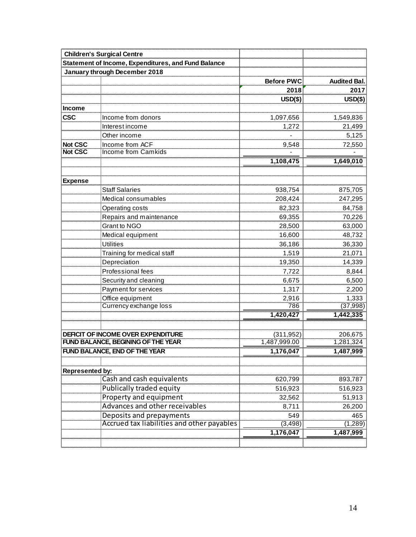|                        | <b>Children's Surgical Centre</b>                                             |                       |                     |
|------------------------|-------------------------------------------------------------------------------|-----------------------|---------------------|
|                        | Statement of Income, Expenditures, and Fund Balance                           |                       |                     |
|                        | January through December 2018                                                 |                       |                     |
|                        |                                                                               | <b>Before PWC</b>     | <b>Audited Bal.</b> |
|                        |                                                                               | 2018                  | 2017                |
|                        |                                                                               | $USD(\$)$             | $USD(\$)$           |
| <b>Income</b>          |                                                                               |                       |                     |
| <b>CSC</b>             | Income from donors                                                            | 1,097,656             | 1,549,836           |
|                        | Interest income                                                               | 1,272                 | 21,499              |
|                        | Other income                                                                  |                       | 5,125               |
| <b>Not CSC</b>         | Income from ACF                                                               | 9,548                 | 72,550              |
| <b>Not CSC</b>         | <b>Income from Camkids</b>                                                    |                       |                     |
|                        |                                                                               | 1,108,475             | 1,649,010           |
|                        |                                                                               |                       |                     |
| <b>Expense</b>         |                                                                               |                       |                     |
|                        | <b>Staff Salaries</b>                                                         | 938,754               | 875,705             |
|                        | Medical consumables                                                           | 208,424               | 247,295             |
|                        | Operating costs                                                               | 82,323                | 84,758              |
|                        | Repairs and maintenance                                                       | 69,355                | 70,226              |
|                        | Grant to NGO                                                                  | 28,500                | 63,000              |
|                        | Medical equipment                                                             | 16,600                | 48,732              |
|                        | <b>Utilities</b>                                                              | 36,186                | 36,330              |
|                        | Training for medical staff                                                    | 1,519                 | 21,071              |
|                        | Depreciation                                                                  | 19,350                | 14,339              |
|                        | Professional fees                                                             | 7,722                 | 8,844               |
|                        | Security and cleaning                                                         | 6,675                 | 6,500               |
|                        | Payment for services                                                          | 1,317                 | 2,200               |
|                        | Office equipment                                                              | 2,916                 | 1,333               |
|                        | Currency exchange loss                                                        | 786                   | (37,998)            |
|                        |                                                                               | 1,420,427             | 1,442,335           |
|                        |                                                                               |                       |                     |
|                        | DEFICIT OF INCOME OVER EXPENDITURE                                            | (311, 952)            | 206,675             |
|                        | <b>FUND BALANCE, BEGINING OF THE YEAR</b>                                     | 1,487,999.00          | 1,281,324           |
|                        | <b>FUND BALANCE, END OF THE YEAR</b>                                          | 1,176,047             | 1,487,999           |
|                        |                                                                               |                       |                     |
| <b>Represented by:</b> |                                                                               |                       |                     |
|                        | Cash and cash equivalents                                                     | 620,799               | 893,787             |
|                        | Publically traded equity                                                      | 516,923               | 516,923             |
|                        | Property and equipment                                                        | 32,562                | 51,913              |
|                        | Advances and other receivables                                                | 8,711                 | 26,200              |
|                        | Deposits and prepayments<br><b>Accrued tax liabilities and other payables</b> | 549                   | 465                 |
|                        |                                                                               | (3, 498)<br>1,176,047 | (1, 289)            |
|                        |                                                                               |                       | 1,487,999           |
|                        |                                                                               |                       |                     |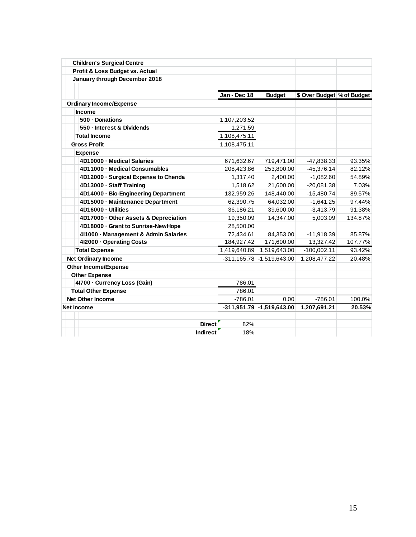| <b>Children's Surgical Centre</b>     |              |                               |                            |         |
|---------------------------------------|--------------|-------------------------------|----------------------------|---------|
| Profit & Loss Budget vs. Actual       |              |                               |                            |         |
| January through December 2018         |              |                               |                            |         |
|                                       | Jan - Dec 18 | <b>Budget</b>                 | \$ Over Budget % of Budget |         |
| <b>Ordinary Income/Expense</b>        |              |                               |                            |         |
| <b>Income</b>                         |              |                               |                            |         |
| 500 - Donations                       | 1,107,203.52 |                               |                            |         |
| 550 - Interest & Dividends            | 1,271.59     |                               |                            |         |
| <b>Total Income</b>                   | 1,108,475.11 |                               |                            |         |
| <b>Gross Profit</b>                   | 1,108,475.11 |                               |                            |         |
| <b>Expense</b>                        |              |                               |                            |         |
| 4D10000 - Medical Salaries            | 671,632.67   | 719,471.00                    | -47,838.33                 | 93.35%  |
| 4D11000 - Medical Consumables         | 208,423.86   | 253,800.00                    | $-45,376.14$               | 82.12%  |
| 4D12000 · Surgical Expense to Chenda  | 1,317.40     | 2,400.00                      | $-1,082.60$                | 54.89%  |
| 4D13000 - Staff Training              | 1,518.62     | 21,600.00                     | $-20,081.38$               | 7.03%   |
| 4D14000 · Bio-Engineering Department  | 132,959.26   | 148,440.00                    | $-15,480.74$               | 89.57%  |
| 4D15000 - Maintenance Department      | 62,390.75    | 64,032.00                     | $-1,641.25$                | 97.44%  |
| 4D16000 - Utilities                   | 36,186.21    | 39,600.00                     | $-3,413.79$                | 91.38%  |
| 4D17000 - Other Assets & Depreciation | 19,350.09    | 14,347.00                     | 5,003.09                   | 134.87% |
| 4D18000 - Grant to Sunrise-New Hope   | 28,500.00    |                               |                            |         |
| 4l1000 - Management & Admin Salaries  | 72.434.61    | 84.353.00                     | $-11,918.39$               | 85.87%  |
| 412000 - Operating Costs              | 184,927.42   | 171,600.00                    | 13,327.42                  | 107.77% |
| <b>Total Expense</b>                  | 1,419,640.89 | 1,519,643.00                  | $-100,002.11$              | 93.42%  |
| <b>Net Ordinary Income</b>            |              | $-311,165.78$ $-1,519,643.00$ | 1,208,477.22               | 20.48%  |
| <b>Other Income/Expense</b>           |              |                               |                            |         |
| <b>Other Expense</b>                  |              |                               |                            |         |
| 41700 - Currency Loss (Gain)          | 786.01       |                               |                            |         |
| <b>Total Other Expense</b>            | 786.01       |                               |                            |         |
| <b>Net Other Income</b>               | $-786.01$    | 0.00                          | $-786.01$                  | 100.0%  |
| <b>Net Income</b>                     |              | $-311,951.79$ $-1,519,643.00$ | 1,207,691.21               | 20.53%  |
|                                       |              |                               |                            |         |
| <b>Direct</b>                         | 82%          |                               |                            |         |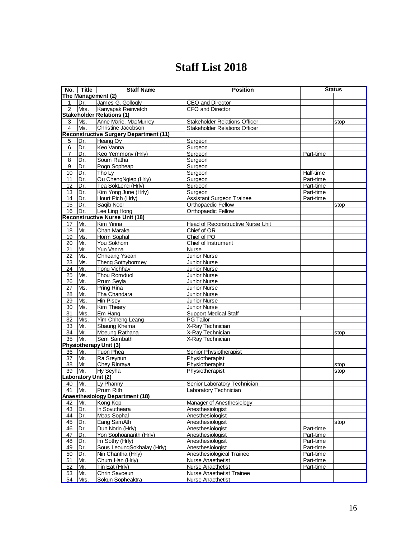### **Staff List 2018**

| No.            | <b>Title</b>        | <b>Staff Name</b>                             | <b>Position</b>                          |           | <b>Status</b> |
|----------------|---------------------|-----------------------------------------------|------------------------------------------|-----------|---------------|
|                |                     | The Management (2)                            |                                          |           |               |
| 1              | Dr.                 | James G. Gollogly                             | <b>CEO</b> and Director                  |           |               |
| $\overline{2}$ | Mrs.                | Kanvapak Reinvetch                            | CFO and Director                         |           |               |
|                |                     | <b>Stakeholder Relations (1)</b>              |                                          |           |               |
| 3              | Ms.                 | Anne Marie. MacMurrey                         | <b>Stakeholder Relations Officer</b>     |           | stop          |
| 4              | Ms.                 | Christine Jacobson                            | <b>Stakeholder Relations Officer</b>     |           |               |
|                |                     | <b>Reconstructive Surgery Department (11)</b> |                                          |           |               |
| 5              | Dr.                 | Heang Oy                                      | Surgeon                                  |           |               |
| 6              | Dr.                 | Keo Vanna                                     | Surgeon                                  |           |               |
| 7              | Dr.                 | Keo Yemmony (Hrly)                            | Surgeon                                  | Part-time |               |
| 8              | Dr.                 | Soum Ratha                                    | Surgeon                                  |           |               |
| 9              | Dr.                 | Pogn Sopheap                                  | Surgeon                                  |           |               |
| 10             | Dr.                 | Tho Lv                                        | Surgeon                                  | Half-time |               |
| 11             | Dr.                 | Ou ChengNgiep (Hrly)                          | Surgeon                                  | Part-time |               |
| 12             | Dr.                 | Tea SokLeng (Hrly)                            | Surgeon                                  | Part-time |               |
| 13             | Dr.                 | Kim Yong June (Hrly)                          | Surgeon                                  | Part-time |               |
| 14             | Dr.                 | Hourt Pich (Hrly)                             | Assistant Surgeon Trainee                | Part-time |               |
| 15             | Dr.                 | Saqib Noor                                    | <b>Orthopaedic Fellow</b>                |           | stop          |
| 16             | Dr.                 | Lee Ling Hong                                 | Orthopaedic Fellow                       |           |               |
|                |                     | <b>Reconstructive Nurse Unit (18)</b>         |                                          |           |               |
| 17             | Mr.                 | Kim Yinna                                     | <b>Head of Reconstructive Nurse Unit</b> |           |               |
| 18             | Mr.                 | Chan Maraka                                   | Chief of OR                              |           |               |
| 19             | Ms.                 | Horm Sophal                                   | Chief of PO                              |           |               |
| 20             | Mr.                 | You Sokhom                                    | Chief of Instrument                      |           |               |
| 21             | Mr.                 | Yun Vanna                                     | <b>Nurse</b>                             |           |               |
| 22             | Ms.                 | Chheang Ysean                                 | Junior Nurse                             |           |               |
| 23             | Ms.                 | <b>Theng Sothybormey</b>                      | Junior Nurse                             |           |               |
| 24             | Mr.                 | <b>Tong Vichhay</b>                           | Junior Nurse                             |           |               |
| 25             | Ms.                 | Thou Romduol                                  | <b>Junior Nurse</b>                      |           |               |
| 26             | Mr.                 | Prum Seyla                                    | Junior Nurse                             |           |               |
| 27             | Ms.                 | <b>Pring Rina</b>                             | Junior Nurse                             |           |               |
| 28             | Mr.                 | Tha Chandara                                  | Junior Nurse                             |           |               |
| 29             | Ms.                 | <b>Hin Pisey</b>                              | Junior Nurse                             |           |               |
| 30             | Ms.                 | Kim Theary                                    | <b>Junior Nurse</b>                      |           |               |
| 31             | Mrs.                | Em Hang                                       | <b>Support Medical Staff</b>             |           |               |
| 32             | Mrs.                | Yim Chheng Leang                              | <b>PG Tailor</b>                         |           |               |
| 33             | Mr.                 | Sbaung Khema                                  | X-Ray Technician                         |           |               |
| 34             | Mr.                 | Moeung Rathana                                | X-Ray Technician                         |           | stop          |
| 35             | Mr.                 | Sem Sambath                                   | X-Ray Technician                         |           |               |
|                |                     | <b>Physiotherapy Unit (3)</b>                 |                                          |           |               |
| 36             | Mr.                 | <b>Tuon Phea</b>                              | Senior Physiotherapist                   |           |               |
| 37             | Mr.                 | Ra Sreynun                                    | Physiotherapist                          |           |               |
| 38             | Mr                  | Chey Rinraya                                  | Physiotherapist                          |           | stop          |
| 39             | Mr.                 | Hy Seyha                                      | Physiotherapist                          |           | stop          |
|                | Laboratory Unit (2) |                                               |                                          |           |               |
| 40             | Mr.                 | Ly Phanny                                     | Senior Laboratory Technician             |           |               |
| 41   Mr.       |                     | Prum Rith                                     | Laboratory Technician                    |           |               |
|                |                     | Anaesthesiology Department (18)               |                                          |           |               |
| 42             | Mr.                 | Kong Kop                                      | Manager of Anesthesiology                |           |               |
| 43             | Dr.                 | In Sovutheara                                 | Anesthesiologist                         |           |               |
| 44             | Dr.                 | Meas Sophal                                   | Anesthesiologist                         |           |               |
| 45             | Dr.                 | Eang SamAth                                   | Anesthesiologist                         |           | stop          |
| 46             | Dr.                 | Dun Norin (Hrly)                              | Anesthesiologist                         | Part-time |               |
| 47             | Dr.                 | Yon Sophoanarith (Hrly)                       | Anesthesiologist                         | Part-time |               |
| 48             | Dr.                 | Im Sothy (Hrly)                               | Anesthesiologist                         | Part-time |               |
| 49             | Dr.                 | Sous LeoungSokhalay (Hrly)                    | Anesthesiologist                         | Part-time |               |
| 50             | Dr.                 | Nin Chantha (Hrly)                            | Anesthesiological Trainee                | Part-time |               |
| 51             | Mr.                 | Chum Han (Hrly)                               | <b>Nurse Anaethetist</b>                 | Part-time |               |
| 52             | Mr.                 | Tin Eat (Hrly)                                | Nurse Anaethetist                        | Part-time |               |
| 53             | Mr.                 | Chrin Savoeun                                 | Nurse Anaethetist Trainee                |           |               |
| 54             | Mrs.                | Sokun Sopheaktra                              | <b>Nurse Anaethetist</b>                 |           |               |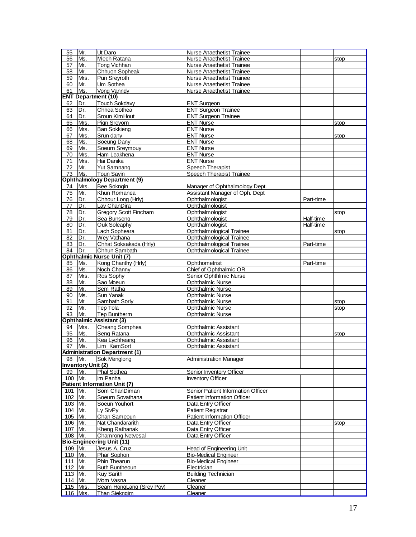| 55        | Mr.                       | Ut Daro                              | Nurse Anaethetist Trainee          |           |      |
|-----------|---------------------------|--------------------------------------|------------------------------------|-----------|------|
| 56        | Ms.                       | Miech Ratana                         | Nurse Anaethetist Trainee          |           | stop |
| 57        | Mr.                       | Tong Vichhan                         | Nurse Anaethetist Trainee          |           |      |
| 58        | Mr.                       | Chhuon Sopheak                       | <b>Nurse Anaethetist Trainee</b>   |           |      |
| 59        | Mrs.                      | Pun Sreyroth                         | <b>Nurse Anaethetist Trainee</b>   |           |      |
| 60        | Mr.                       | Um Sothea                            | Nurse Anaethetist Trainee          |           |      |
|           |                           |                                      |                                    |           |      |
| 61        | Ms.                       | Vong Vanndy                          | Nurse Anaethetist Trainee          |           |      |
|           |                           | <b>ENT Department (10)</b>           |                                    |           |      |
| 62        | Dr.                       | <b>Touch Sokdavy</b>                 | <b>ENT Surgeon</b>                 |           |      |
| 63        | Dr.                       | Chhea Sothea                         | <b>ENT Surgeon Trainee</b>         |           |      |
| 64        | Dr.                       | Sroun KimHout                        | <b>ENT Surgeon Trainee</b>         |           |      |
| 65        | Mrs.                      | Pign Sreyorn                         | <b>ENT Nurse</b>                   |           | stop |
|           |                           | <b>Ban Sokkieng</b>                  | <b>ENT Nurse</b>                   |           |      |
| 66        | Mrs.                      |                                      |                                    |           |      |
| 67        | Mrs.                      | Srun dany                            | <b>ENT Nurse</b>                   |           | stop |
| 68        | Ms.                       | Soeung Dany                          | <b>ENT Nurse</b>                   |           |      |
| 69        | Ms.                       | Soeurn Sreymouy                      | <b>ENT Nurse</b>                   |           |      |
| 70        | Mrs.                      | Ham Leakhena                         | <b>ENT Nurse</b>                   |           |      |
| 71        | Mrs.                      | Hai Danika                           | <b>ENT Nurse</b>                   |           |      |
| 72        | Mr.                       | <b>Yut Samnang</b>                   | Speech Therapist                   |           |      |
|           |                           |                                      |                                    |           |      |
| 73        | Ms.                       | <b>Toun Savin</b>                    | Speech Therapist Trainee           |           |      |
|           |                           | <b>Ophthalmology Department (9)</b>  |                                    |           |      |
| 74        | Mrs.                      | Bee Sokngin                          | Manager of Ophthalmology Dept.     |           |      |
| 75        | Mr.                       | Khun Romanea                         | Assistant Manager of Oph. Dept     |           |      |
| 76        | Dr.                       | Chhour Long (Hrly)                   | Ophthalmologist                    | Part-time |      |
| 77        | Dr.                       | Lay ChanDira                         | Ophthalmologist                    |           |      |
|           |                           |                                      |                                    |           |      |
| 78        | Dr.                       | Gregory Scott Fincham                | Ophthalmologist                    |           | stop |
| 79        | Dr.                       | Sea Bunseng                          | Ophthalmologist                    | Half-time |      |
| 80        | Dr.                       | Ouk Soleaphy                         | Ophthalmologist                    | Half-time |      |
| 81        | Dr.                       | Lach Sopheara                        | <b>Ophthalmological Trainee</b>    |           | stop |
| 82        | Dr.                       | Wey Vathana                          | Ophthalmological Trainee           |           |      |
| 83        | Dr.                       | Chhat Soksakada (Hrly)               | Ophthalmological Trainee           | Part-time |      |
| 84        | Dr.                       | Chhun Sambath                        | Ophthalmological Trainee           |           |      |
|           |                           |                                      |                                    |           |      |
|           |                           | <b>Ophthalmic Nurse Unit (7)</b>     |                                    |           |      |
| 85        | Ms.                       | Kong Chanthy (Hrly)                  | Ophthometrist                      | Part-time |      |
| 86        | Ms.                       | Noch Channy                          | Chief of Ophthalmic OR             |           |      |
| 87        | Mrs.                      | Ros Sophy                            | Senior Ophthlmic Nurse             |           |      |
| 88        | Mr.                       | Sao Moeun                            | <b>Ophthalmic Nurse</b>            |           |      |
| 89        | Mr.                       | Sem Ratha                            | <b>Ophthalmic Nurse</b>            |           |      |
| 90        | Ms.                       | Sun Yanak                            | Ophthalmic Nurse                   |           |      |
|           |                           |                                      |                                    |           |      |
| 91        | Mr                        | Sambath Soriy                        | <b>Ophthalmic Nurse</b>            |           | stop |
| 92        | Mr.                       | Tep Tola                             | <b>Ophthalmic Nurse</b>            |           | stop |
| 93        | Mr.                       | <b>Tep Buntherm</b>                  | <b>Ophthalmic Nurse</b>            |           |      |
|           |                           | <b>Ophthalmic Assistant (3)</b>      |                                    |           |      |
| 94        | Mrs.                      | Cheang Somphea                       | Ophthalmic Assistant               |           |      |
| 95        | Ms.                       | Seng Ratana                          | <b>Ophthalmic Assistant</b>        |           | stop |
| 96        | Mr.                       | Kea Lychheang                        | <b>Ophthalmic Assistant</b>        |           |      |
|           |                           |                                      |                                    |           |      |
| 97        | Ms.                       | Lim KamSort                          | <b>Ophthalmic Assistant</b>        |           |      |
|           |                           | <b>Administration Department (1)</b> |                                    |           |      |
| 98 Mr.    |                           | Sok Menglong                         | <b>Administration Manager</b>      |           |      |
|           | <b>Inventory Unit (2)</b> |                                      |                                    |           |      |
| 99        | Mr.                       | <b>Phal Sothea</b>                   | Senior Inventory Officer           |           |      |
| 100 Mr.   |                           | Im Panha                             | <b>Inventory Officer</b>           |           |      |
|           |                           | <b>Patient Information Unit (7)</b>  |                                    |           |      |
|           |                           |                                      |                                    |           |      |
| 101       | Mr.                       | Som ChanDiman                        | Senior Patient Information Officer |           |      |
| 102 Mr.   |                           | Soeurn Sovathana                     | <b>Patient Information Officer</b> |           |      |
| 103 Mr.   |                           | Soeun Youhort                        | Data Entry Officer                 |           |      |
| 104 Mr.   |                           | Ly SivPy                             | <b>Patient Registrar</b>           |           |      |
| 105 Mr.   |                           | Chan Sameoun                         | Patient Information Officer        |           |      |
| 106 Mr.   |                           | Nat Chandararith                     | Data Entry Officer                 |           | stop |
| 107 Mr.   |                           | <b>Kheng Rathanak</b>                | Data Entry Officer                 |           |      |
|           |                           |                                      |                                    |           |      |
| 108 Mr.   |                           | Chamrong Netvesal                    | Data Entry Officer                 |           |      |
|           |                           | <b>Bio-Engineering Unit (11)</b>     |                                    |           |      |
| 109 Mr.   |                           | Jesus A. Cruz                        | <b>Head of Engineering Unit</b>    |           |      |
| 110 Mr.   |                           | Phar Sophon                          | <b>Bio-Medical Engineer</b>        |           |      |
| 111   Mr. |                           | Phin Thearun                         | <b>Bio-Medical Engineer</b>        |           |      |
| 112 Mr.   |                           | <b>Buth Buntheoun</b>                | Electrician                        |           |      |
| 113 Mr.   |                           | <b>Kuy Sarith</b>                    | <b>Building Technician</b>         |           |      |
|           |                           |                                      |                                    |           |      |
| 114 Mr.   |                           | Mom Vasna                            | Cleaner                            |           |      |
| 115 Mrs.  |                           | Seam HongLang (Srey Pov)             | Cleaner                            |           |      |
|           | 116 Mrs.                  | <b>Than Siekngim</b>                 | Cleaner                            |           |      |